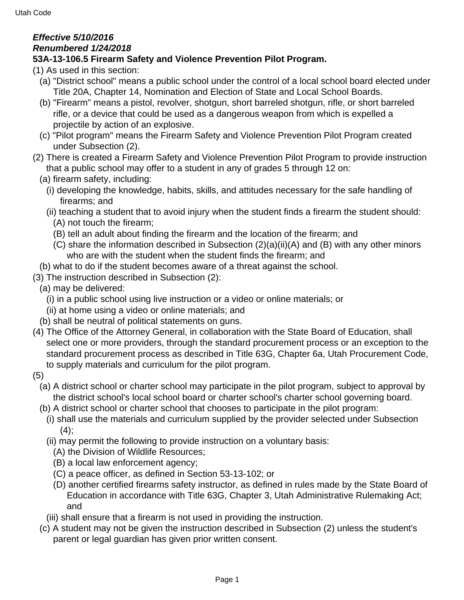## **Effective 5/10/2016 Renumbered 1/24/2018**

## **53A-13-106.5 Firearm Safety and Violence Prevention Pilot Program.**

(1) As used in this section:

- (a) "District school" means a public school under the control of a local school board elected under Title 20A, Chapter 14, Nomination and Election of State and Local School Boards.
- (b) "Firearm" means a pistol, revolver, shotgun, short barreled shotgun, rifle, or short barreled rifle, or a device that could be used as a dangerous weapon from which is expelled a projectile by action of an explosive.
- (c) "Pilot program" means the Firearm Safety and Violence Prevention Pilot Program created under Subsection (2).
- (2) There is created a Firearm Safety and Violence Prevention Pilot Program to provide instruction that a public school may offer to a student in any of grades 5 through 12 on:
	- (a) firearm safety, including:
		- (i) developing the knowledge, habits, skills, and attitudes necessary for the safe handling of firearms; and
		- (ii) teaching a student that to avoid injury when the student finds a firearm the student should:
			- (A) not touch the firearm;
			- (B) tell an adult about finding the firearm and the location of the firearm; and
			- (C) share the information described in Subsection (2)(a)(ii)(A) and (B) with any other minors who are with the student when the student finds the firearm; and
	- (b) what to do if the student becomes aware of a threat against the school.
- (3) The instruction described in Subsection (2):
	- (a) may be delivered:
		- (i) in a public school using live instruction or a video or online materials; or
		- (ii) at home using a video or online materials; and
	- (b) shall be neutral of political statements on guns.
- (4) The Office of the Attorney General, in collaboration with the State Board of Education, shall select one or more providers, through the standard procurement process or an exception to the standard procurement process as described in Title 63G, Chapter 6a, Utah Procurement Code, to supply materials and curriculum for the pilot program.
- (5)
	- (a) A district school or charter school may participate in the pilot program, subject to approval by the district school's local school board or charter school's charter school governing board.
	- (b) A district school or charter school that chooses to participate in the pilot program:
		- (i) shall use the materials and curriculum supplied by the provider selected under Subsection  $(4)$ ;
		- (ii) may permit the following to provide instruction on a voluntary basis:
			- (A) the Division of Wildlife Resources;
			- (B) a local law enforcement agency;
			- (C) a peace officer, as defined in Section 53-13-102; or
			- (D) another certified firearms safety instructor, as defined in rules made by the State Board of Education in accordance with Title 63G, Chapter 3, Utah Administrative Rulemaking Act; and
		- (iii) shall ensure that a firearm is not used in providing the instruction.
	- (c) A student may not be given the instruction described in Subsection (2) unless the student's parent or legal guardian has given prior written consent.